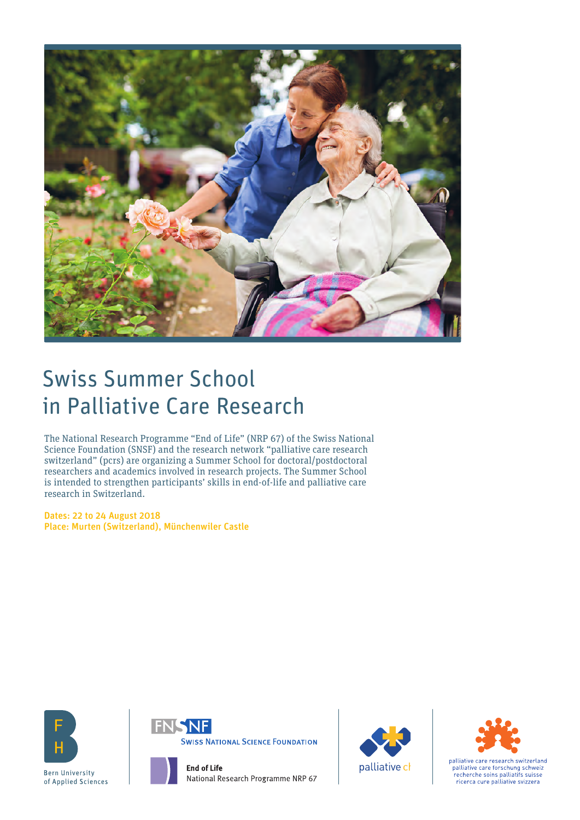

# Swiss Summer School in Palliative Care Research

The National Research Programme "End of Life" (NRP 67) of the Swiss National Science Foundation (SNSF) and the research network "palliative care research switzerland" (pcrs) are organizing a Summer School for doctoral/postdoctoral researchers and academics involved in research projects. The Summer School is intended to strengthen participants' skills in end-of-life and palliative care research in Switzerland.

Dates: 22 to 24 August 2018 Place: Murten (Switzerland), Münchenwiler Castle





National Research Programme NRP 67





palliative care research switzerland palliative care forschung schweiz .<br>recherche soins palliatifs suisse ricerca cure palliative svizzera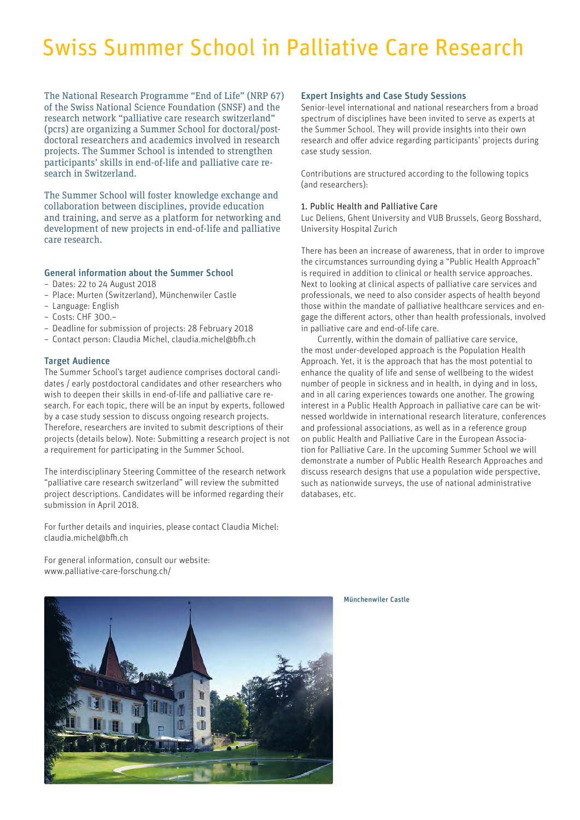# Swiss Summer School in Palliative Care Research

The National Research Programme "End of Life" (NRP 67) of the Swiss National Science Foundation (SNSF) and the research network "palliative care research switzerland" (pcrs) are organizing a Summer School for doctoral/postdoctoral researchers and academics involved in research projects. The Summer School is intended to strengthen participants' skills in end-of-life and palliative care research in Switzerland.

The Summer School will foster knowledge exchange and collaboration between disciplines, provide education and training, and serve as a platform for networking and development of new projects in end-of-life and palliative care research.

# General information about the Summer School

- Dates: 22 to 24 August 2018
- Place: Murten (Switzerland), Münchenwiler Castle
- Language: English
- Costs: CHF 300.–
- Deadline for submission of projects: 28 February 2018
- Contact person: Claudia Michel, claudia.michel@bfh.ch

#### Target Audience

The Summer School's target audience comprises doctoral candidates / early postdoctoral candidates and other researchers who wish to deepen their skills in end-of-life and palliative care research. For each topic, there will be an input by experts, followed by a case study session to discuss ongoing research projects. Therefore, researchers are invited to submit descriptions of their projects (details below). Note: Submitting a research project is not a requirement for participating in the Summer School.

The interdisciplinary Steering Committee of the research network "palliative care research switzerland" will review the submitted project descriptions. Candidates will be informed regarding their submission in April 2018.

For further details and inquiries, please contact Claudia Michel: claudia.michel@bfh.ch

For general information, consult our website: www.palliative-care-forschung.ch/

# Expert Insights and Case Study Sessions

Senior-level international and national researchers from a broad spectrum of disciplines have been invited to serve as experts at the Summer School. They will provide insights into their own research and offer advice regarding participants' projects during case study session.

Contributions are structured according to the following topics (and researchers):

# 1. Public Health and Palliative Care

Luc Deliens, Ghent University and VUB Brussels, Georg Bosshard, University Hospital Zurich

There has been an increase of awareness, that in order to improve the circumstances surrounding dying a "Public Health Approach" is required in addition to clinical or health service approaches. Next to looking at clinical aspects of palliative care services and professionals, we need to also consider aspects of health beyond those within the mandate of palliative healthcare services and engage the different actors, other than health professionals, involved in palliative care and end-of-life care.

Currently, within the domain of palliative care service, the most under-developed approach is the Population Health Approach. Yet, it is the approach that has the most potential to enhance the quality of life and sense of wellbeing to the widest number of people in sickness and in health, in dying and in loss, and in all caring experiences towards one another. The growing interest in a Public Health Approach in palliative care can be witnessed worldwide in international research literature, conferences and professional associations, as well as in a reference group on public Health and Palliative Care in the European Association for Palliative Care. In the upcoming Summer School we will demonstrate a number of Public Health Research Approaches and discuss research designs that use a population wide perspective, such as nationwide surveys, the use of national administrative databases, etc.



Münchenwiler Castle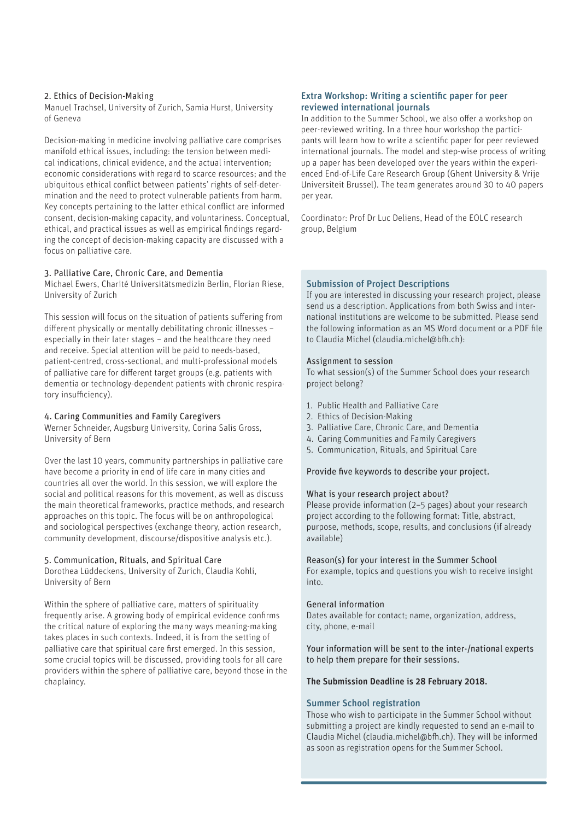#### 2. Ethics of Decision-Making

Manuel Trachsel, University of Zurich, Samia Hurst, University of Geneva

Decision-making in medicine involving palliative care comprises manifold ethical issues, including: the tension between medical indications, clinical evidence, and the actual intervention; economic considerations with regard to scarce resources; and the ubiquitous ethical conflict between patients' rights of self-determination and the need to protect vulnerable patients from harm. Key concepts pertaining to the latter ethical conflict are informed consent, decision-making capacity, and voluntariness. Conceptual, ethical, and practical issues as well as empirical findings regarding the concept of decision-making capacity are discussed with a focus on palliative care.

#### 3. Palliative Care, Chronic Care, and Dementia

Michael Ewers, Charité Universitätsmedizin Berlin, Florian Riese, University of Zurich

This session will focus on the situation of patients suffering from different physically or mentally debilitating chronic illnesses – especially in their later stages – and the healthcare they need and receive. Special attention will be paid to needs-based, patient-centred, cross-sectional, and multi-professional models of palliative care for different target groups (e.g. patients with dementia or technology-dependent patients with chronic respiratory insufficiency).

# 4. Caring Communities and Family Caregivers

Werner Schneider, Augsburg University, Corina Salis Gross, University of Bern

Over the last 10 years, community partnerships in palliative care have become a priority in end of life care in many cities and countries all over the world. In this session, we will explore the social and political reasons for this movement, as well as discuss the main theoretical frameworks, practice methods, and research approaches on this topic. The focus will be on anthropological and sociological perspectives (exchange theory, action research, community development, discourse/dispositive analysis etc.).

# 5. Communication, Rituals, and Spiritual Care

Dorothea Lüddeckens, University of Zurich, Claudia Kohli, University of Bern

Within the sphere of palliative care, matters of spirituality frequently arise. A growing body of empirical evidence confirms the critical nature of exploring the many ways meaning-making takes places in such contexts. Indeed, it is from the setting of palliative care that spiritual care first emerged. In this session, some crucial topics will be discussed, providing tools for all care providers within the sphere of palliative care, beyond those in the chaplaincy.

# Extra Workshop: Writing a scientific paper for peer reviewed international journals

In addition to the Summer School, we also offer a workshop on peer-reviewed writing. In a three hour workshop the participants will learn how to write a scientific paper for peer reviewed international journals. The model and step-wise process of writing up a paper has been developed over the years within the experienced End-of-Life Care Research Group (Ghent University & Vrije Universiteit Brussel). The team generates around 30 to 40 papers per year.

Coordinator: Prof Dr Luc Deliens, Head of the EOLC research group, Belgium

# Submission of Project Descriptions

If you are interested in discussing your research project, please send us a description. Applications from both Swiss and international institutions are welcome to be submitted. Please send the following information as an MS Word document or a PDF file to Claudia Michel (claudia.michel@bfh.ch):

#### Assignment to session

To what session(s) of the Summer School does your research project belong?

- 1. Public Health and Palliative Care
- 2. Ethics of Decision-Making
- 3. Palliative Care, Chronic Care, and Dementia
- 4. Caring Communities and Family Caregivers
- 5. Communication, Rituals, and Spiritual Care

Provide five keywords to describe your project.

#### What is your research project about?

Please provide information (2–5 pages) about your research project according to the following format: Title, abstract, purpose, methods, scope, results, and conclusions (if already available)

Reason(s) for your interest in the Summer School

For example, topics and questions you wish to receive insight into.

# General information

Dates available for contact; name, organization, address, city, phone, e-mail

Your information will be sent to the inter-/national experts to help them prepare for their sessions.

# The Submission Deadline is 28 February 2018.

# Summer School registration

Those who wish to participate in the Summer School without submitting a project are kindly requested to send an e-mail to Claudia Michel (claudia.michel@bfh.ch). They will be informed as soon as registration opens for the Summer School.